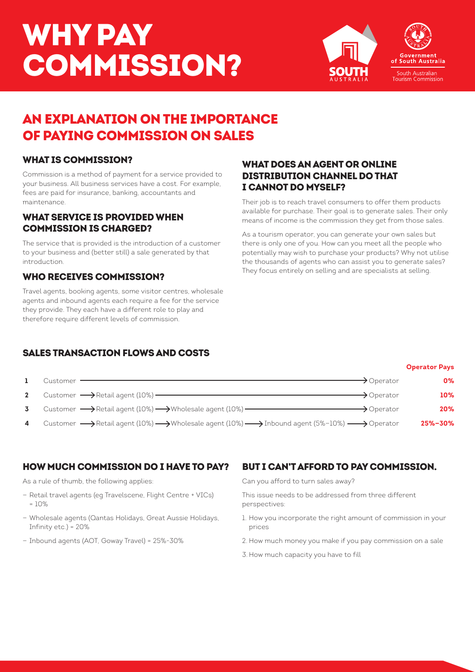# WHY PAY COMMISSION?



## AN EXPLANATION ON THE IMPORTANCE OF PAYING COMMISSION ON SALES

#### WHAT IS COMMISSION?

Commission is a method of payment for a service provided to your business. All business services have a cost. For example, fees are paid for insurance, banking, accountants and maintenance.

#### WHAT SERVICE IS PROVIDED WHEN COMMISSION IS CHARGED?

The service that is provided is the introduction of a customer to your business and (better still) a sale generated by that introduction.

#### WHO RECEIVES COMMISSION?

Travel agents, booking agents, some visitor centres, wholesale agents and inbound agents each require a fee for the service they provide. They each have a different role to play and therefore require different levels of commission.

#### WHAT DOES AN AGENT OR ONLINE DISTRIBUTION CHANNEL DO THAT I CANNOT DO MYSELF?

Their job is to reach travel consumers to offer them products available for purchase. Their goal is to generate sales. Their only means of income is the commission they get from those sales.

As a tourism operator, you can generate your own sales but there is only one of you. How can you meet all the people who potentially may wish to purchase your products? Why not utilise the thousands of agents who can assist you to generate sales? They focus entirely on selling and are specialists at selling.

## SALES TRANSACTION FLOWS AND COSTS

**Operator Pays 1** Customer  $\overline{\phantom{0}}$  **0%** 2 Customer  $\longrightarrow$  Retail agent (10%)  $\longrightarrow$  Operator **10% 3** Customer  $\rightarrow$  Retail agent (10%)  $\rightarrow$  Wholesale agent (10%)  $\rightarrow$  Operator  $\rightarrow$  Operator **20% 4** Customer  $\longrightarrow$  Retail agent (10%)  $\longrightarrow$  Wholesale agent (10%)  $\longrightarrow$  Inbound agent (5%-10%)  $\longrightarrow$  Operator **25%-30%** 

## HOW MUCH COMMISSION DO I HAVE TO PAY?

As a rule of thumb, the following applies:

- Retail travel agents (eg Travelscene, Flight Centre + VICs)  $= 10%$
- Wholesale agents (Qantas Holidays, Great Aussie Holidays, Infinity etc.) = 20%
- Inbound agents (AOT, Goway Travel) = 25%-30%

## BUT I CAN'T AFFORD TO PAY COMMISSION.

Can you afford to turn sales away?

This issue needs to be addressed from three different perspectives:

- 1. How you incorporate the right amount of commission in your prices
- 2. How much money you make if you pay commission on a sale
- 3. How much capacity you have to fill